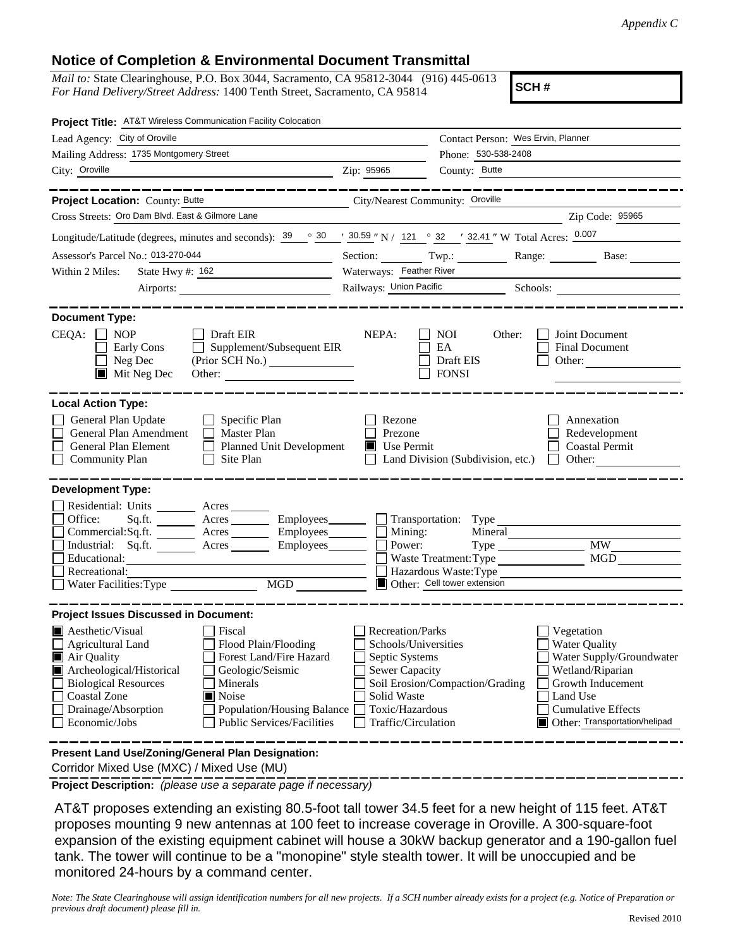## **Notice of Completion & Environmental Document Transmittal**

*Mail to:* State Clearinghouse, P.O. Box 3044, Sacramento, CA 95812-3044 (916) 445-0613 *For Hand Delivery/Street Address:* 1400 Tenth Street, Sacramento, CA 95814

**SCH #**

| Project Title: AT&T Wireless Communication Facility Colocation                                                                                                                                                                                                                                                                                                                                                           |                                                                                                                                              |                                                                                         |                                                                                                                                                                                   |
|--------------------------------------------------------------------------------------------------------------------------------------------------------------------------------------------------------------------------------------------------------------------------------------------------------------------------------------------------------------------------------------------------------------------------|----------------------------------------------------------------------------------------------------------------------------------------------|-----------------------------------------------------------------------------------------|-----------------------------------------------------------------------------------------------------------------------------------------------------------------------------------|
| Lead Agency: City of Oroville                                                                                                                                                                                                                                                                                                                                                                                            |                                                                                                                                              | Contact Person: Wes Ervin, Planner                                                      |                                                                                                                                                                                   |
| Mailing Address: 1735 Montgomery Street                                                                                                                                                                                                                                                                                                                                                                                  |                                                                                                                                              | Phone: 530-538-2408                                                                     |                                                                                                                                                                                   |
| City: Oroville<br><u> 1989 - Johann Barn, fransk politik amerikansk politik (d. 1989)</u>                                                                                                                                                                                                                                                                                                                                | Zip: 95965                                                                                                                                   | County: Butte                                                                           |                                                                                                                                                                                   |
| ____________                                                                                                                                                                                                                                                                                                                                                                                                             |                                                                                                                                              |                                                                                         | . _ _ _ _ _ _ _ _ _ _ _ _ _ _ _ _                                                                                                                                                 |
| Project Location: County: Butte                                                                                                                                                                                                                                                                                                                                                                                          | City/Nearest Community: Oroville                                                                                                             |                                                                                         |                                                                                                                                                                                   |
| Cross Streets: Oro Dam Blvd. East & Gilmore Lane                                                                                                                                                                                                                                                                                                                                                                         |                                                                                                                                              |                                                                                         | Zip Code: 95965                                                                                                                                                                   |
| Longitude/Latitude (degrees, minutes and seconds): $\frac{39}{9}$ $\frac{\circ}{6}$ $\frac{30}{9}$ $\frac{1}{2}$ $\frac{30.59}{9}$ $\frac{1}{21}$ $\frac{121}{9}$ $\frac{\circ}{6}$ $\frac{32}{9}$ $\frac{1}{2}$ $\frac{32.41}{9}$ W Total Acres: $\frac{0.007}{9}$                                                                                                                                                      |                                                                                                                                              |                                                                                         |                                                                                                                                                                                   |
| Assessor's Parcel No.: 013-270-044                                                                                                                                                                                                                                                                                                                                                                                       |                                                                                                                                              |                                                                                         | Section: Twp.: Range: Base:                                                                                                                                                       |
| State Hwy #: 162<br>Within 2 Miles:                                                                                                                                                                                                                                                                                                                                                                                      | Waterways: Feather River                                                                                                                     |                                                                                         |                                                                                                                                                                                   |
| Airports:                                                                                                                                                                                                                                                                                                                                                                                                                |                                                                                                                                              |                                                                                         |                                                                                                                                                                                   |
| <b>Document Type:</b><br>$CEQA: \Box NP$<br>Draft EIR<br>Early Cons<br>$\Box$ Supplement/Subsequent EIR<br>Neg Dec<br>$\blacksquare$<br>$\blacksquare$ Mit Neg Dec<br>Other:                                                                                                                                                                                                                                             | NEPA:                                                                                                                                        | <b>NOI</b><br>Other:<br>EA<br>Draft EIS<br><b>FONSI</b>                                 | Joint Document<br>Final Document<br>Other:                                                                                                                                        |
| <b>Local Action Type:</b><br>General Plan Update<br>$\Box$ Specific Plan<br>General Plan Amendment<br>Master Plan<br>General Plan Element<br>Planned Unit Development<br><b>Community Plan</b><br>Site Plan<br>$\perp$                                                                                                                                                                                                   | Rezone<br>Prezone<br>Use Permit                                                                                                              | Land Division (Subdivision, etc.) $\Box$ Other:                                         | Annexation<br>Redevelopment<br><b>Coastal Permit</b>                                                                                                                              |
| <b>Development Type:</b><br>Residential: Units _________ Acres _______<br>Office:<br>Sq.ft. ________ Acres _________ Employees _______ __ Transportation: Type<br>$Commercial:Sq.fit.$ Acres $\_\_\_\_\$ Employees $\_\_\_\_\$ Mining:<br>Industrial: Sq.ft. Acres Employees<br>Educational:<br>Recreational:<br>MGD<br>Water Facilities: Type                                                                           | Power:                                                                                                                                       | Mineral<br>Waste Treatment: Type<br>Hazardous Waste:Type<br>Other: Cell tower extension | <b>MW</b><br><b>MGD</b>                                                                                                                                                           |
| <b>Project Issues Discussed in Document:</b><br>$\blacksquare$ Aesthetic/Visual<br>  Fiscal<br><b>Agricultural Land</b><br>Flood Plain/Flooding<br>Forest Land/Fire Hazard<br>Air Quality<br>Archeological/Historical<br>Geologic/Seismic<br><b>Biological Resources</b><br>Minerals<br>Coastal Zone<br>Noise<br>Drainage/Absorption<br>Population/Housing Balance<br>Economic/Jobs<br><b>Public Services/Facilities</b> | Recreation/Parks<br>Schools/Universities<br>Septic Systems<br><b>Sewer Capacity</b><br>Solid Waste<br>Toxic/Hazardous<br>Traffic/Circulation | Soil Erosion/Compaction/Grading                                                         | Vegetation<br><b>Water Quality</b><br>Water Supply/Groundwater<br>Wetland/Riparian<br>Growth Inducement<br>Land Use<br><b>Cumulative Effects</b><br>Other: Transportation/helipad |
| Present Land Use/Zoning/General Plan Designation:                                                                                                                                                                                                                                                                                                                                                                        |                                                                                                                                              |                                                                                         |                                                                                                                                                                                   |

Corridor Mixed Use (MXC) / Mixed Use (MU)

**Project Description:** *(please use a separate page if necessary)*

 AT&T proposes extending an existing 80.5-foot tall tower 34.5 feet for a new height of 115 feet. AT&T proposes mounting 9 new antennas at 100 feet to increase coverage in Oroville. A 300-square-foot expansion of the existing equipment cabinet will house a 30kW backup generator and a 190-gallon fuel tank. The tower will continue to be a "monopine" style stealth tower. It will be unoccupied and be monitored 24-hours by a command center.

*Note: The State Clearinghouse will assign identification numbers for all new projects. If a SCH number already exists for a project (e.g. Notice of Preparation or previous draft document) please fill in.*